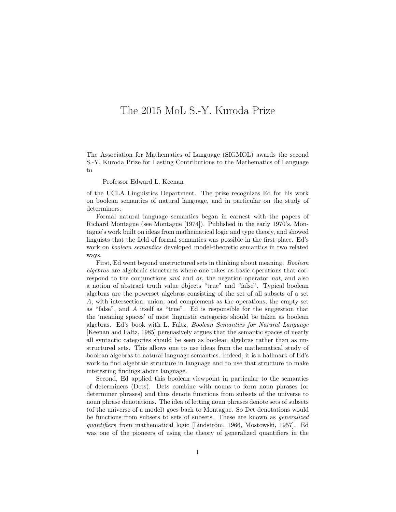## The 2015 MoL S.-Y. Kuroda Prize

The Association for Mathematics of Language (SIGMOL) awards the second S.-Y. Kuroda Prize for Lasting Contributions to the Mathematics of Language to

## Professor Edward L. Keenan

of the UCLA Linguistics Department. The prize recognizes Ed for his work on boolean semantics of natural language, and in particular on the study of determiners.

Formal natural language semantics began in earnest with the papers of Richard Montague (see Montague [1974]). Published in the early 1970's, Montague's work built on ideas from mathematical logic and type theory, and showed linguists that the field of formal semantics was possible in the first place. Ed's work on boolean semantics developed model-theoretic semantics in two related ways.

First, Ed went beyond unstructured sets in thinking about meaning. Boolean algebras are algebraic structures where one takes as basic operations that correspond to the conjunctions and and or, the negation operator not, and also a notion of abstract truth value objects "true" and "false". Typical boolean algebras are the powerset algebras consisting of the set of all subsets of a set A, with intersection, union, and complement as the operations, the empty set as "false", and A itself as "true". Ed is responsible for the suggestion that the 'meaning spaces' of most linguistic categories should be taken as boolean algebras. Ed's book with L. Faltz, Boolean Semantics for Natural Language [Keenan and Faltz, 1985] persuasively argues that the semantic spaces of nearly all syntactic categories should be seen as boolean algebras rather than as unstructured sets. This allows one to use ideas from the mathematical study of boolean algebras to natural language semantics. Indeed, it is a hallmark of Ed's work to find algebraic structure in language and to use that structure to make interesting findings about language.

Second, Ed applied this boolean viewpoint in particular to the semantics of determiners (Dets). Dets combine with nouns to form noun phrases (or determiner phrases) and thus denote functions from subsets of the universe to noun phrase denotations. The idea of letting noun phrases denote sets of subsets (of the universe of a model) goes back to Montague. So Det denotations would be functions from subsets to sets of subsets. These are known as generalized quantifiers from mathematical logic [Lindström, 1966, Mostowski, 1957]. Ed was one of the pioneers of using the theory of generalized quantifiers in the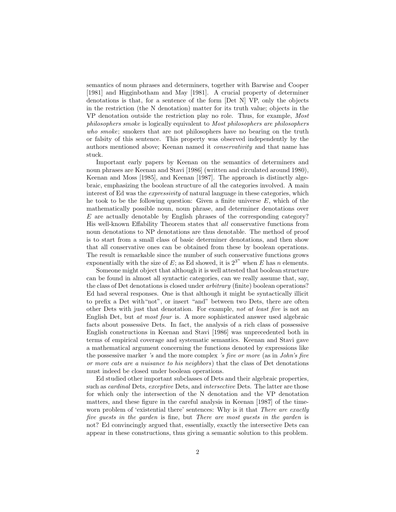semantics of noun phrases and determiners, together with Barwise and Cooper [1981] and Higginbotham and May [1981]. A crucial property of determiner denotations is that, for a sentence of the form [Det N] VP, only the objects in the restriction (the N denotation) matter for its truth value; objects in the VP denotation outside the restriction play no role. Thus, for example, Most philosophers smoke is logically equivalent to Most philosophers are philosophers who smoke; smokers that are not philosophers have no bearing on the truth or falsity of this sentence. This property was observed independently by the authors mentioned above; Keenan named it conservativity and that name has stuck.

Important early papers by Keenan on the semantics of determiners and noun phrases are Keenan and Stavi [1986] (written and circulated around 1980), Keenan and Moss [1985], and Keenan [1987]. The approach is distinctly algebraic, emphasizing the boolean structure of all the categories involved. A main interest of Ed was the *expressivity* of natural language in these categories, which he took to be the following question: Given a finite universe  $E$ , which of the mathematically possible noun, noun phrase, and determiner denotations over  $E$  are actually denotable by English phrases of the corresponding category? His well-known Effability Theorem states that all conservative functions from noun denotations to NP denotations are thus denotable. The method of proof is to start from a small class of basic determiner denotations, and then show that all conservative ones can be obtained from these by boolean operations. The result is remarkable since the number of such conservative functions grows exponentially with the size of E; as Ed showed, it is  $2^{3^n}$  when E has n elements.

Someone might object that although it is well attested that boolean structure can be found in almost all syntactic categories, can we really assume that, say, the class of Det denotations is closed under arbitrary (finite) boolean operations? Ed had several responses. One is that although it might be syntactically illicit to prefix a Det with"not", or insert "and" between two Dets, there are often other Dets with just that denotation. For example, not at least five is not an English Det, but at most four is. A more sophisticated answer used algebraic facts about possessive Dets. In fact, the analysis of a rich class of possessive English constructions in Keenan and Stavi [1986] was unprecedented both in terms of empirical coverage and systematic semantics. Keenan and Stavi gave a mathematical argument concerning the functions denoted by expressions like the possessive marker 's and the more complex 's five or more (as in John's five or more cats are a nuisance to his neighbors) that the class of Det denotations must indeed be closed under boolean operations.

Ed studied other important subclasses of Dets and their algebraic properties, such as *cardinal* Dets, *exceptive* Dets, and *intersective* Dets. The latter are those for which only the intersection of the N denotation and the VP denotation matters, and these figure in the careful analysis in Keenan [1987] of the timeworn problem of 'existential there' sentences: Why is it that *There are exactly* five guests in the garden is fine, but There are most guests in the garden is not? Ed convincingly argued that, essentially, exactly the intersective Dets can appear in these constructions, thus giving a semantic solution to this problem.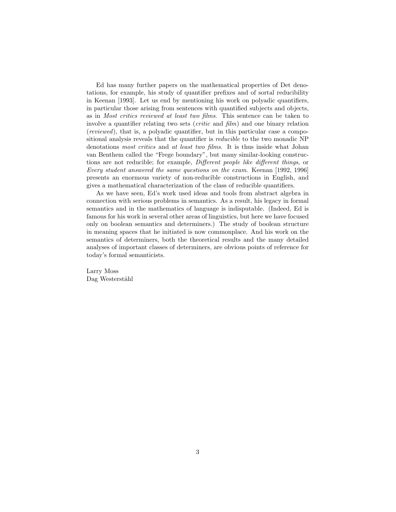Ed has many further papers on the mathematical properties of Det denotations, for example, his study of quantifier prefixes and of sortal reducibility in Keenan [1993]. Let us end by mentioning his work on polyadic quantifiers, in particular those arising from sentences with quantified subjects and objects, as in Most critics reviewed at least two films. This sentence can be taken to involve a quantifier relating two sets (critic and film) and one binary relation (reviewed), that is, a polyadic quantifier, but in this particular case a compositional analysis reveals that the quantifier is reducible to the two monadic NP denotations most critics and at least two films. It is thus inside what Johan van Benthem called the "Frege boundary", but many similar-looking constructions are not reducible; for example, Different people like different things, or Every student answered the same questions on the exam. Keenan [1992, 1996] presents an enormous variety of non-reducible constructions in English, and gives a mathematical characterization of the class of reducible quantifiers.

As we have seen, Ed's work used ideas and tools from abstract algebra in connection with serious problems in semantics. As a result, his legacy in formal semantics and in the mathematics of language is indisputable. (Indeed, Ed is famous for his work in several other areas of linguistics, but here we have focused only on boolean semantics and determiners.) The study of boolean structure in meaning spaces that he initiated is now commonplace. And his work on the semantics of determiners, both the theoretical results and the many detailed analyses of important classes of determiners, are obvious points of reference for today's formal semanticists.

Larry Moss Dag Westerståhl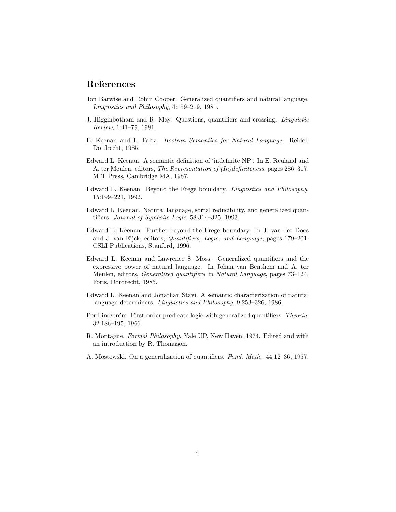## References

- Jon Barwise and Robin Cooper. Generalized quantifiers and natural language. Linguistics and Philosophy, 4:159–219, 1981.
- J. Higginbotham and R. May. Questions, quantifiers and crossing. Linguistic Review, 1:41–79, 1981.
- E. Keenan and L. Faltz. Boolean Semantics for Natural Language. Reidel, Dordrecht, 1985.
- Edward L. Keenan. A semantic definition of 'indefinite NP'. In E. Reuland and A. ter Meulen, editors, The Representation of (In)definiteness, pages 286–317. MIT Press, Cambridge MA, 1987.
- Edward L. Keenan. Beyond the Frege boundary. Linguistics and Philosophy, 15:199–221, 1992.
- Edward L. Keenan. Natural language, sortal reducibility, and generalized quantifiers. Journal of Symbolic Logic, 58:314–325, 1993.
- Edward L. Keenan. Further beyond the Frege boundary. In J. van der Does and J. van Eijck, editors, Quantifiers, Logic, and Language, pages 179–201. CSLI Publications, Stanford, 1996.
- Edward L. Keenan and Lawrence S. Moss. Generalized quantifiers and the expressive power of natural language. In Johan van Benthem and A. ter Meulen, editors, Generalized quantifiers in Natural Language, pages 73–124. Foris, Dordrecht, 1985.
- Edward L. Keenan and Jonathan Stavi. A semantic characterization of natural language determiners. Linguistics and Philosophy, 9:253–326, 1986.
- Per Lindström. First-order predicate logic with generalized quantifiers. Theoria, 32:186–195, 1966.
- R. Montague. Formal Philosophy. Yale UP, New Haven, 1974. Edited and with an introduction by R. Thomason.
- A. Mostowski. On a generalization of quantifiers. Fund. Math., 44:12–36, 1957.